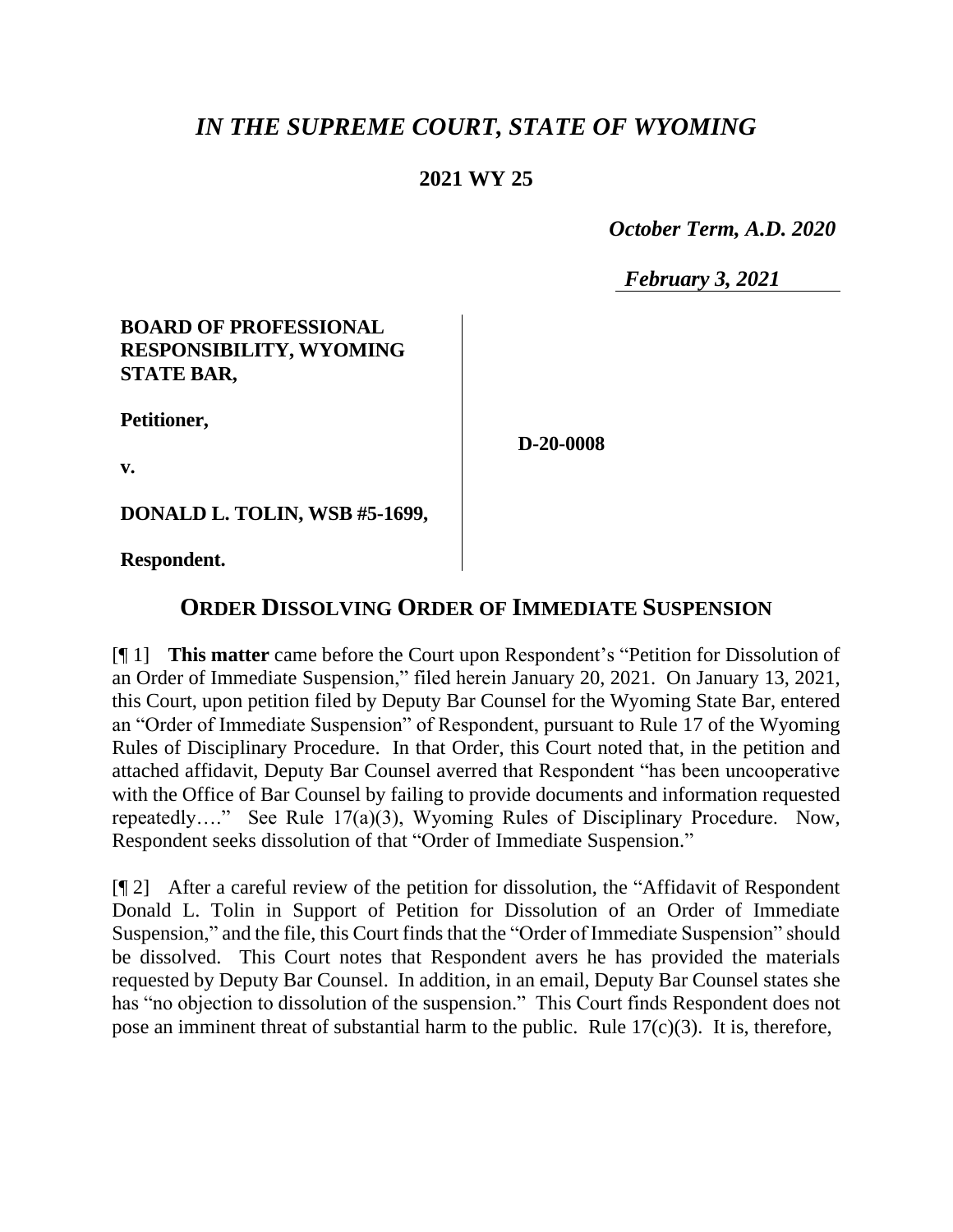# *IN THE SUPREME COURT, STATE OF WYOMING*

### **2021 WY 25**

 *October Term, A.D. 2020*

*February 3, 2021*

#### **BOARD OF PROFESSIONAL RESPONSIBILITY, WYOMING STATE BAR,**

**Petitioner,**

**D-20-0008**

**v.**

**DONALD L. TOLIN, WSB #5-1699,**

**Respondent.**

## **ORDER DISSOLVING ORDER OF IMMEDIATE SUSPENSION**

[¶ 1] **This matter** came before the Court upon Respondent's "Petition for Dissolution of an Order of Immediate Suspension," filed herein January 20, 2021. On January 13, 2021, this Court, upon petition filed by Deputy Bar Counsel for the Wyoming State Bar, entered an "Order of Immediate Suspension" of Respondent, pursuant to Rule 17 of the Wyoming Rules of Disciplinary Procedure. In that Order, this Court noted that, in the petition and attached affidavit, Deputy Bar Counsel averred that Respondent "has been uncooperative with the Office of Bar Counsel by failing to provide documents and information requested repeatedly…." See Rule 17(a)(3), Wyoming Rules of Disciplinary Procedure. Now, Respondent seeks dissolution of that "Order of Immediate Suspension."

[¶ 2] After a careful review of the petition for dissolution, the "Affidavit of Respondent Donald L. Tolin in Support of Petition for Dissolution of an Order of Immediate Suspension," and the file, this Court finds that the "Order of Immediate Suspension" should be dissolved. This Court notes that Respondent avers he has provided the materials requested by Deputy Bar Counsel. In addition, in an email, Deputy Bar Counsel states she has "no objection to dissolution of the suspension." This Court finds Respondent does not pose an imminent threat of substantial harm to the public. Rule  $17(c)(3)$ . It is, therefore,